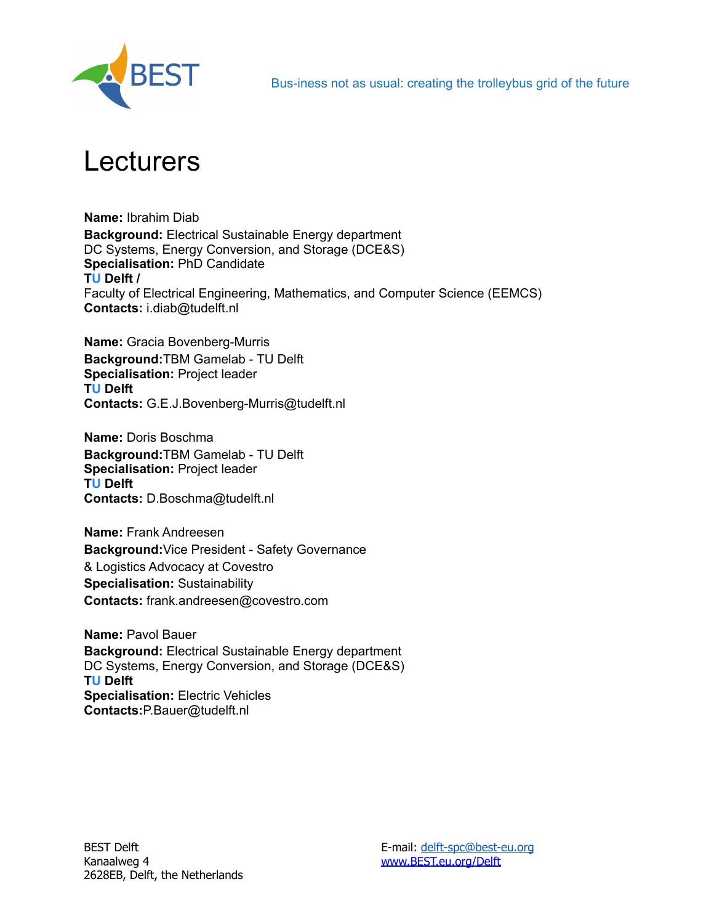

## Lecturers

**Name:** Ibrahim Diab **Background:** Electrical Sustainable Energy department DC Systems, Energy Conversion, and Storage (DCE&S) **Specialisation:** PhD Candidate **TU Delft /** Faculty of Electrical Engineering, Mathematics, and Computer Science (EEMCS) **Contacts:** i.diab@tudelft.nl

**Name:** Gracia Bovenberg-Murris **Background:**TBM Gamelab - TU Delft **Specialisation:** Project leader **TU Delft Contacts:** G.E.J.Bovenberg-Murris@tudelft.nl

**Name:** Doris Boschma **Background:**TBM Gamelab - TU Delft **Specialisation:** Project leader **TU Delft Contacts:** D.Boschma@tudelft.nl

**Name:** Frank Andreesen **Background:**Vice President - Safety Governance & Logistics Advocacy at Covestro **Specialisation:** Sustainability **Contacts:** frank.andreesen@covestro.com

**Name:** Pavol Bauer **Background:** Electrical Sustainable Energy department DC Systems, Energy Conversion, and Storage (DCE&S) **TU Delft Specialisation:** Electric Vehicles **Contacts:**P.Bauer@tudelft.nl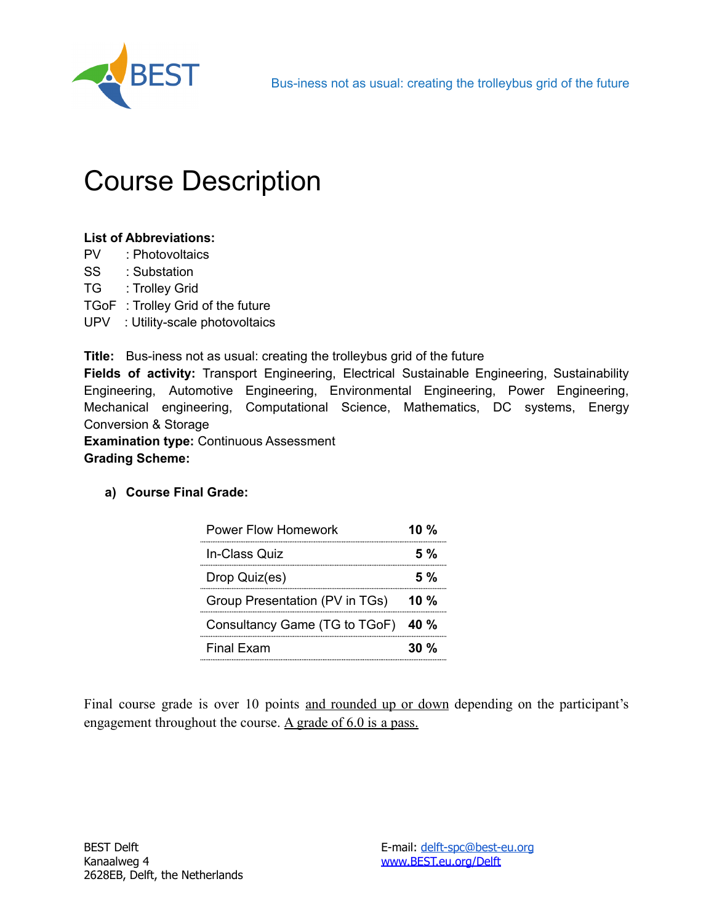

## Course Description

#### **List of Abbreviations:**

- PV : Photovoltaics
- SS : Substation
- TG : Trolley Grid
- TGoF : Trolley Grid of the future
- UPV : Utility-scale photovoltaics

**Title:** Bus-iness not as usual: creating the trolleybus grid of the future

**Fields of activity:** Transport Engineering, Electrical Sustainable Engineering, Sustainability Engineering, Automotive Engineering, Environmental Engineering, Power Engineering, Mechanical engineering, Computational Science, Mathematics, DC systems, Energy Conversion & Storage

**Examination type:** Continuous Assessment

#### **Grading Scheme:**

**a) Course Final Grade:**

| <b>Power Flow Homework</b>     | 10 $%$      |
|--------------------------------|-------------|
| In-Class Quiz                  | 5%          |
| Drop Quiz(es)                  | 5%          |
| Group Presentation (PV in TGs) | 10%         |
| Consultancy Game (TG to TGoF)  | <b>40 %</b> |
| <b>Final Exam</b>              | $30\%$      |

Final course grade is over 10 points and rounded up or down depending on the participant's engagement throughout the course. A grade of 6.0 is a pass.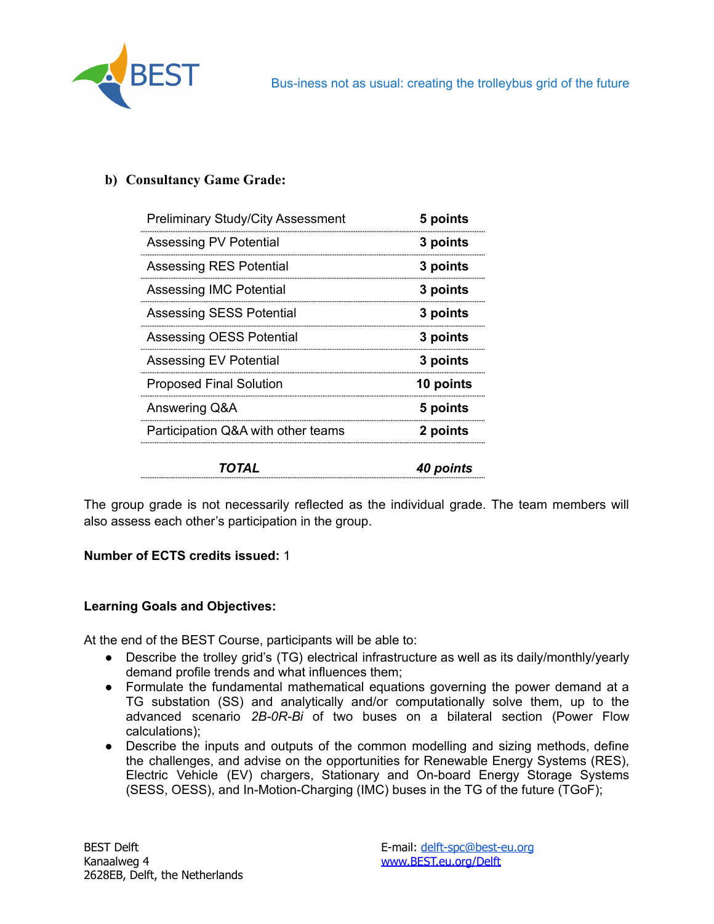

#### **b) Consultancy Game Grade:**

| <b>Preliminary Study/City Assessment</b> | 5 points         |
|------------------------------------------|------------------|
| Assessing PV Potential                   | 3 points         |
| Assessing RES Potential                  | 3 points         |
| Assessing IMC Potential                  | 3 points         |
| <b>Assessing SESS Potential</b>          | 3 points         |
| Assessing OESS Potential                 | 3 points         |
| Assessing EV Potential                   | 3 points         |
| <b>Proposed Final Solution</b>           | 10 points        |
| Answering Q&A                            | 5 points         |
| Participation Q&A with other teams       | 2 points         |
| TOTAL                                    | <b>40 points</b> |

The group grade is not necessarily reflected as the individual grade. The team members will also assess each other's participation in the group.

#### **Number of ECTS credits issued:** 1

#### **Learning Goals and Objectives:**

At the end of the BEST Course, participants will be able to:

- Describe the trolley grid's (TG) electrical infrastructure as well as its daily/monthly/yearly demand profile trends and what influences them;
- Formulate the fundamental mathematical equations governing the power demand at a TG substation (SS) and analytically and/or computationally solve them, up to the advanced scenario *2B-0R-Bi* of two buses on a bilateral section (Power Flow calculations);
- Describe the inputs and outputs of the common modelling and sizing methods, define the challenges, and advise on the opportunities for Renewable Energy Systems (RES), Electric Vehicle (EV) chargers, Stationary and On-board Energy Storage Systems (SESS, OESS), and In-Motion-Charging (IMC) buses in the TG of the future (TGoF);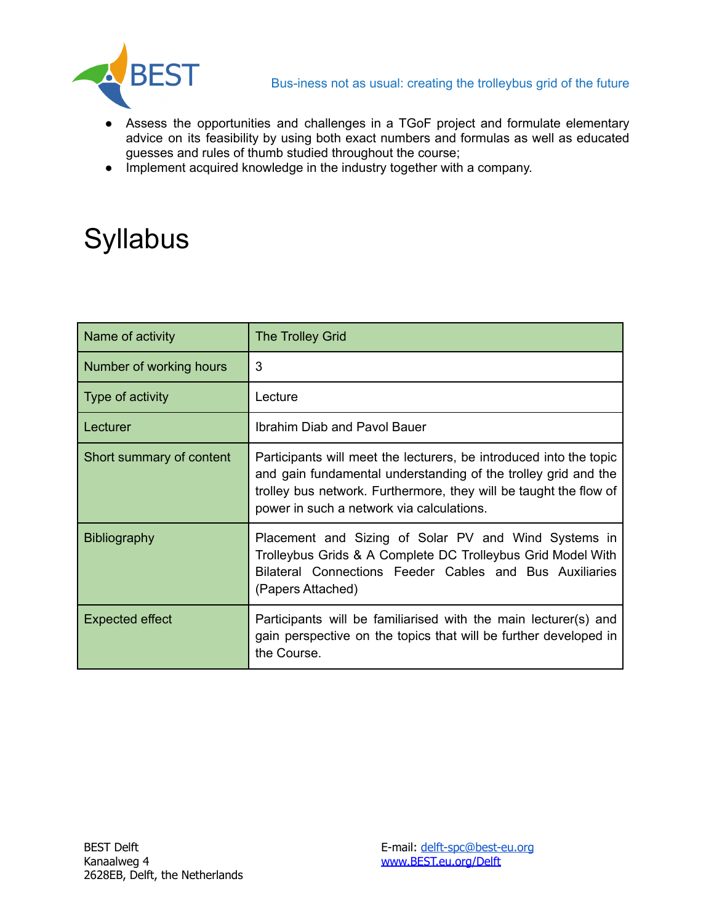

- Assess the opportunities and challenges in a TGoF project and formulate elementary advice on its feasibility by using both exact numbers and formulas as well as educated guesses and rules of thumb studied throughout the course;
- Implement acquired knowledge in the industry together with a company.

# **Syllabus**

| Name of activity         | <b>The Trolley Grid</b>                                                                                                                                                                                                                                |
|--------------------------|--------------------------------------------------------------------------------------------------------------------------------------------------------------------------------------------------------------------------------------------------------|
| Number of working hours  | 3                                                                                                                                                                                                                                                      |
| Type of activity         | Lecture                                                                                                                                                                                                                                                |
| Lecturer                 | Ibrahim Diab and Pavol Bauer                                                                                                                                                                                                                           |
| Short summary of content | Participants will meet the lecturers, be introduced into the topic<br>and gain fundamental understanding of the trolley grid and the<br>trolley bus network. Furthermore, they will be taught the flow of<br>power in such a network via calculations. |
| <b>Bibliography</b>      | Placement and Sizing of Solar PV and Wind Systems in<br>Trolleybus Grids & A Complete DC Trolleybus Grid Model With<br>Bilateral Connections Feeder Cables and Bus Auxiliaries<br>(Papers Attached)                                                    |
| <b>Expected effect</b>   | Participants will be familiarised with the main lecturer(s) and<br>gain perspective on the topics that will be further developed in<br>the Course.                                                                                                     |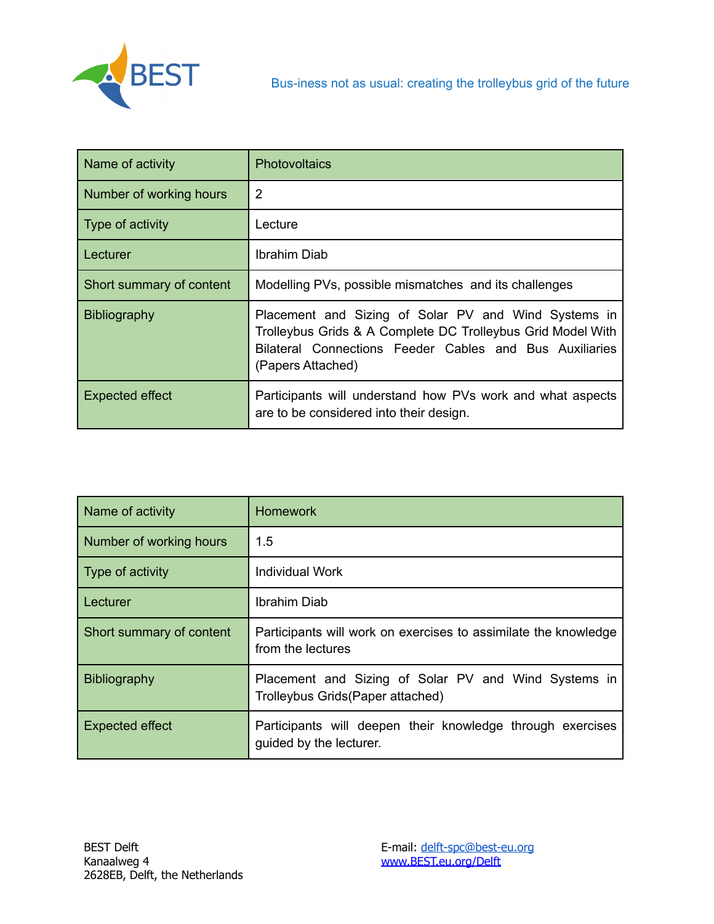

| Name of activity         | Photovoltaics                                                                                                                                                                                       |
|--------------------------|-----------------------------------------------------------------------------------------------------------------------------------------------------------------------------------------------------|
| Number of working hours  | $\overline{2}$                                                                                                                                                                                      |
| Type of activity         | Lecture                                                                                                                                                                                             |
| Lecturer                 | Ibrahim Diab                                                                                                                                                                                        |
| Short summary of content | Modelling PVs, possible mismatches and its challenges                                                                                                                                               |
| <b>Bibliography</b>      | Placement and Sizing of Solar PV and Wind Systems in<br>Trolleybus Grids & A Complete DC Trolleybus Grid Model With<br>Bilateral Connections Feeder Cables and Bus Auxiliaries<br>(Papers Attached) |
| <b>Expected effect</b>   | Participants will understand how PVs work and what aspects<br>are to be considered into their design.                                                                                               |

| Name of activity         | <b>Homework</b>                                                                          |
|--------------------------|------------------------------------------------------------------------------------------|
| Number of working hours  | 1.5                                                                                      |
| Type of activity         | Individual Work                                                                          |
| ∣ Lecturer               | Ibrahim Diab                                                                             |
| Short summary of content | Participants will work on exercises to assimilate the knowledge<br>from the lectures     |
| <b>Bibliography</b>      | Placement and Sizing of Solar PV and Wind Systems in<br>Trolleybus Grids(Paper attached) |
| <b>Expected effect</b>   | Participants will deepen their knowledge through exercises<br>guided by the lecturer.    |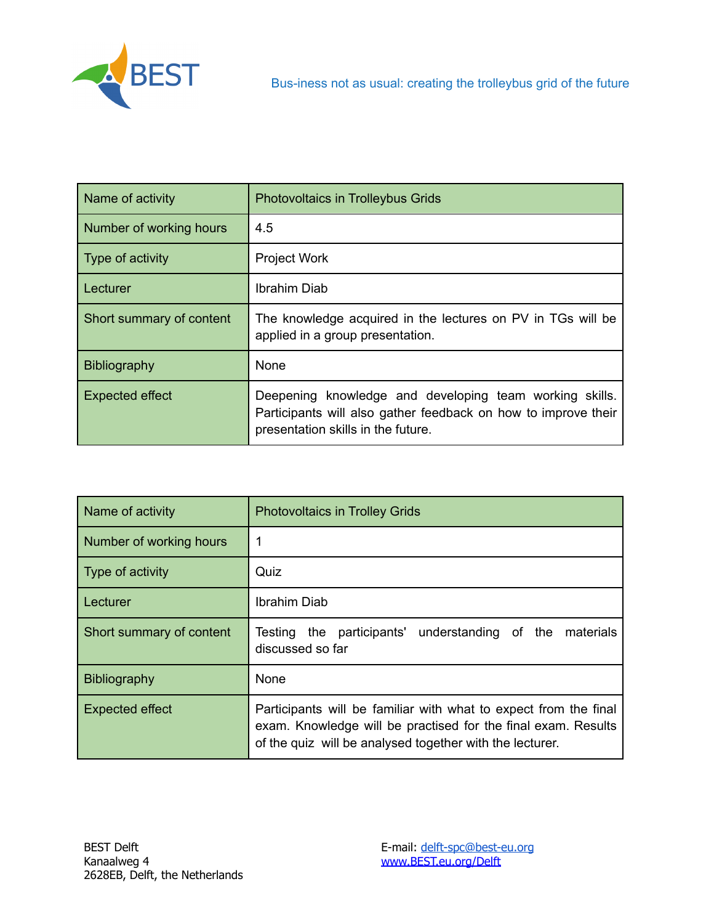

| Name of activity         | <b>Photovoltaics in Trolleybus Grids</b>                                                                                                                        |
|--------------------------|-----------------------------------------------------------------------------------------------------------------------------------------------------------------|
| Number of working hours  | 4.5                                                                                                                                                             |
| Type of activity         | <b>Project Work</b>                                                                                                                                             |
| ∣ Lecturer               | Ibrahim Diab                                                                                                                                                    |
| Short summary of content | The knowledge acquired in the lectures on PV in TGs will be<br>applied in a group presentation.                                                                 |
| Bibliography             | <b>None</b>                                                                                                                                                     |
| <b>Expected effect</b>   | Deepening knowledge and developing team working skills.<br>Participants will also gather feedback on how to improve their<br>presentation skills in the future. |

| Name of activity         | <b>Photovoltaics in Trolley Grids</b>                                                                                                                                                         |
|--------------------------|-----------------------------------------------------------------------------------------------------------------------------------------------------------------------------------------------|
| Number of working hours  |                                                                                                                                                                                               |
| Type of activity         | Quiz                                                                                                                                                                                          |
| l Lecturer               | Ibrahim Diab                                                                                                                                                                                  |
| Short summary of content | understanding of the materials<br>Testing the participants'<br>discussed so far                                                                                                               |
| Bibliography             | <b>None</b>                                                                                                                                                                                   |
| <b>Expected effect</b>   | Participants will be familiar with what to expect from the final<br>exam. Knowledge will be practised for the final exam. Results<br>of the quiz will be analysed together with the lecturer. |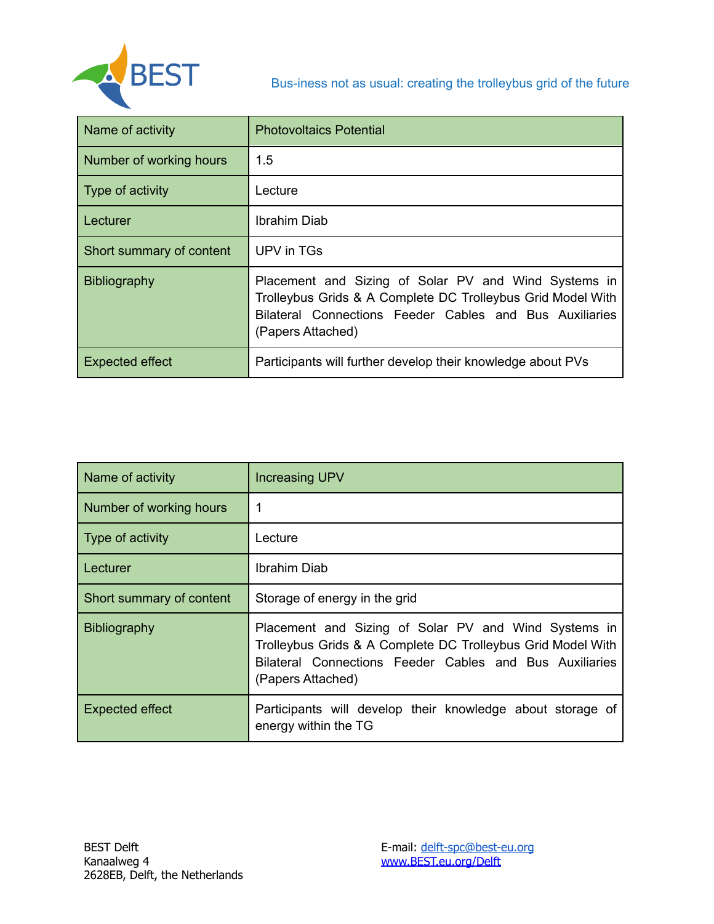

| Name of activity         | <b>Photovoltaics Potential</b>                                                                                                                                                                      |
|--------------------------|-----------------------------------------------------------------------------------------------------------------------------------------------------------------------------------------------------|
| Number of working hours  | 1.5                                                                                                                                                                                                 |
| Type of activity         | Lecture                                                                                                                                                                                             |
| l Lecturer               | Ibrahim Diab                                                                                                                                                                                        |
| Short summary of content | UPV in TGs                                                                                                                                                                                          |
| Bibliography             | Placement and Sizing of Solar PV and Wind Systems in<br>Trolleybus Grids & A Complete DC Trolleybus Grid Model With<br>Bilateral Connections Feeder Cables and Bus Auxiliaries<br>(Papers Attached) |
| <b>Expected effect</b>   | Participants will further develop their knowledge about PVs                                                                                                                                         |

| Name of activity         | <b>Increasing UPV</b>                                                                                                                                                                               |
|--------------------------|-----------------------------------------------------------------------------------------------------------------------------------------------------------------------------------------------------|
| Number of working hours  |                                                                                                                                                                                                     |
| Type of activity         | Lecture                                                                                                                                                                                             |
| Lecturer                 | Ibrahim Diab                                                                                                                                                                                        |
| Short summary of content | Storage of energy in the grid                                                                                                                                                                       |
| <b>Bibliography</b>      | Placement and Sizing of Solar PV and Wind Systems in<br>Trolleybus Grids & A Complete DC Trolleybus Grid Model With<br>Bilateral Connections Feeder Cables and Bus Auxiliaries<br>(Papers Attached) |
| <b>Expected effect</b>   | Participants will develop their knowledge about storage of<br>energy within the TG                                                                                                                  |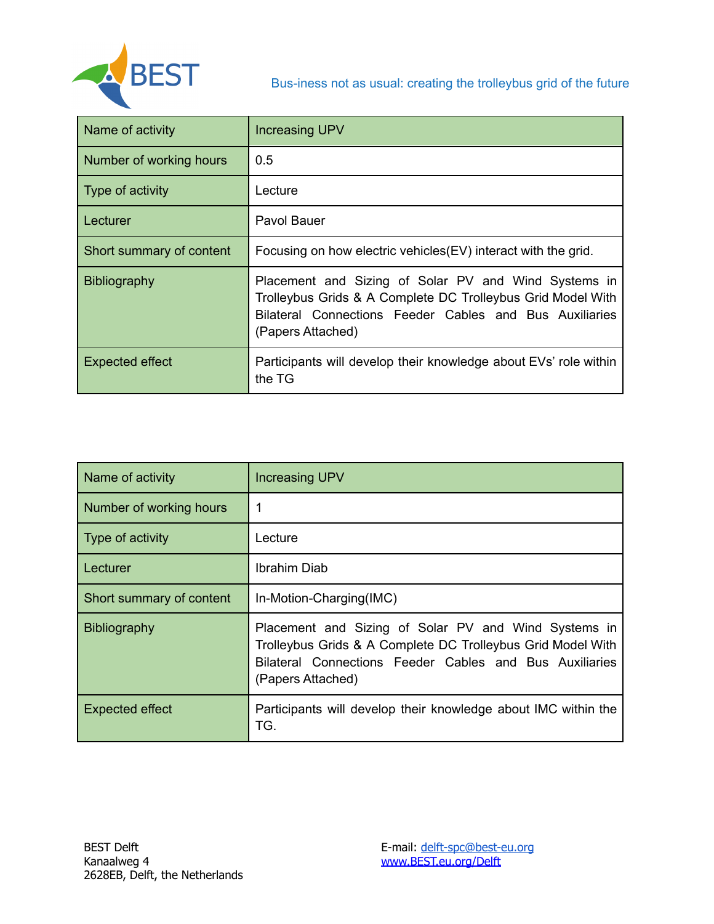

| Name of activity         | <b>Increasing UPV</b>                                                                                                                                                                               |
|--------------------------|-----------------------------------------------------------------------------------------------------------------------------------------------------------------------------------------------------|
| Number of working hours  | 0.5                                                                                                                                                                                                 |
| Type of activity         | Lecture                                                                                                                                                                                             |
| Lecturer                 | Pavol Bauer                                                                                                                                                                                         |
| Short summary of content | Focusing on how electric vehicles (EV) interact with the grid.                                                                                                                                      |
| Bibliography             | Placement and Sizing of Solar PV and Wind Systems in<br>Trolleybus Grids & A Complete DC Trolleybus Grid Model With<br>Bilateral Connections Feeder Cables and Bus Auxiliaries<br>(Papers Attached) |
| <b>Expected effect</b>   | Participants will develop their knowledge about EVs' role within<br>the TG                                                                                                                          |

| Name of activity         | <b>Increasing UPV</b>                                                                                                                                                                               |
|--------------------------|-----------------------------------------------------------------------------------------------------------------------------------------------------------------------------------------------------|
| Number of working hours  |                                                                                                                                                                                                     |
| Type of activity         | Lecture                                                                                                                                                                                             |
| Lecturer                 | Ibrahim Diab                                                                                                                                                                                        |
| Short summary of content | In-Motion-Charging(IMC)                                                                                                                                                                             |
| Bibliography             | Placement and Sizing of Solar PV and Wind Systems in<br>Trolleybus Grids & A Complete DC Trolleybus Grid Model With<br>Bilateral Connections Feeder Cables and Bus Auxiliaries<br>(Papers Attached) |
| <b>Expected effect</b>   | Participants will develop their knowledge about IMC within the<br>TG.                                                                                                                               |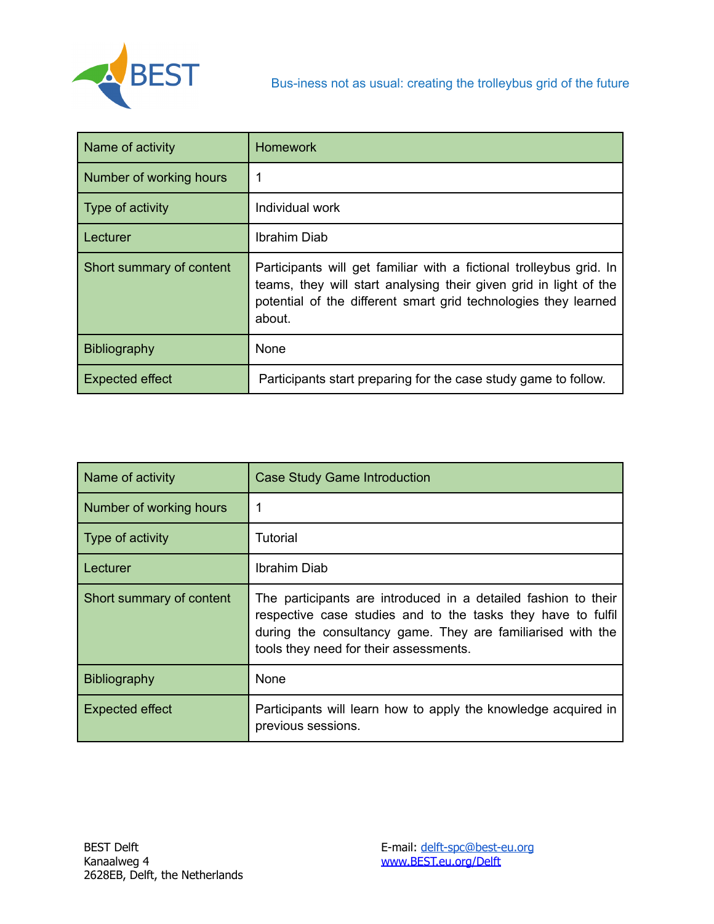

| Name of activity         | <b>Homework</b>                                                                                                                                                                                                       |
|--------------------------|-----------------------------------------------------------------------------------------------------------------------------------------------------------------------------------------------------------------------|
| Number of working hours  |                                                                                                                                                                                                                       |
| Type of activity         | Individual work                                                                                                                                                                                                       |
| Lecturer                 | Ibrahim Diab                                                                                                                                                                                                          |
| Short summary of content | Participants will get familiar with a fictional trolleybus grid. In<br>teams, they will start analysing their given grid in light of the<br>potential of the different smart grid technologies they learned<br>about. |
| <b>Bibliography</b>      | None                                                                                                                                                                                                                  |
| <b>Expected effect</b>   | Participants start preparing for the case study game to follow.                                                                                                                                                       |

| Name of activity         | <b>Case Study Game Introduction</b>                                                                                                                                                                                                     |
|--------------------------|-----------------------------------------------------------------------------------------------------------------------------------------------------------------------------------------------------------------------------------------|
| Number of working hours  |                                                                                                                                                                                                                                         |
| Type of activity         | Tutorial                                                                                                                                                                                                                                |
| Lecturer                 | Ibrahim Diab                                                                                                                                                                                                                            |
| Short summary of content | The participants are introduced in a detailed fashion to their<br>respective case studies and to the tasks they have to fulfil<br>during the consultancy game. They are familiarised with the<br>tools they need for their assessments. |
| <b>Bibliography</b>      | <b>None</b>                                                                                                                                                                                                                             |
| <b>Expected effect</b>   | Participants will learn how to apply the knowledge acquired in<br>previous sessions.                                                                                                                                                    |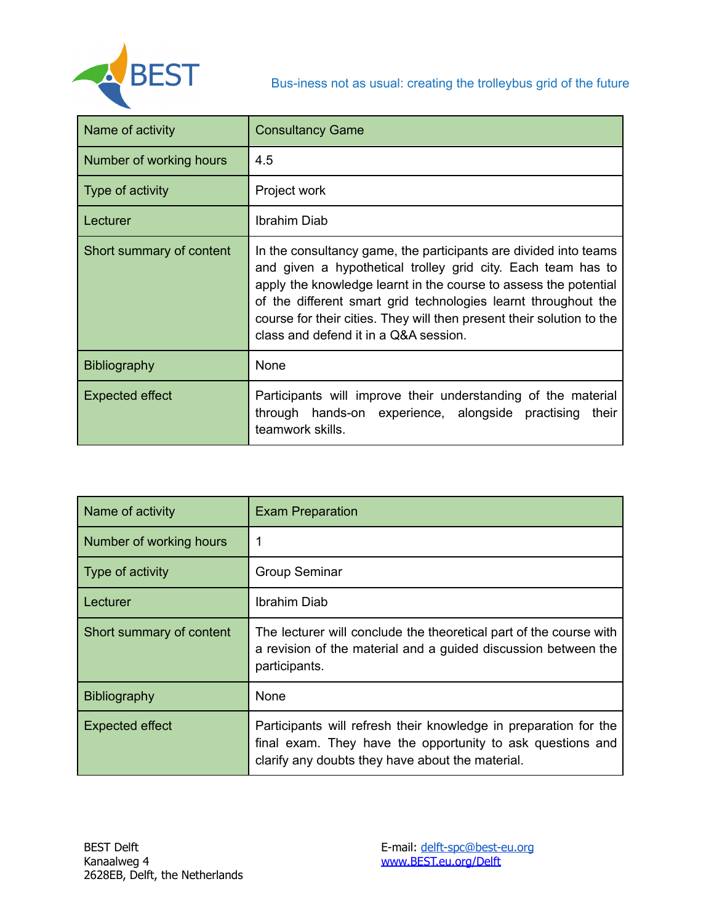

| Name of activity         | <b>Consultancy Game</b>                                                                                                                                                                                                                                                                                                                                                                  |
|--------------------------|------------------------------------------------------------------------------------------------------------------------------------------------------------------------------------------------------------------------------------------------------------------------------------------------------------------------------------------------------------------------------------------|
| Number of working hours  | 4.5                                                                                                                                                                                                                                                                                                                                                                                      |
| Type of activity         | Project work                                                                                                                                                                                                                                                                                                                                                                             |
| Lecturer                 | <b>Ibrahim Diab</b>                                                                                                                                                                                                                                                                                                                                                                      |
| Short summary of content | In the consultancy game, the participants are divided into teams<br>and given a hypothetical trolley grid city. Each team has to<br>apply the knowledge learnt in the course to assess the potential<br>of the different smart grid technologies learnt throughout the<br>course for their cities. They will then present their solution to the<br>class and defend it in a Q&A session. |
| Bibliography             | None                                                                                                                                                                                                                                                                                                                                                                                     |
| Expected effect          | Participants will improve their understanding of the material<br>through hands-on experience, alongside practising<br>their<br>teamwork skills.                                                                                                                                                                                                                                          |

| Name of activity         | <b>Exam Preparation</b>                                                                                                                                                            |
|--------------------------|------------------------------------------------------------------------------------------------------------------------------------------------------------------------------------|
| Number of working hours  |                                                                                                                                                                                    |
| Type of activity         | <b>Group Seminar</b>                                                                                                                                                               |
| Lecturer                 | Ibrahim Diab                                                                                                                                                                       |
| Short summary of content | The lecturer will conclude the theoretical part of the course with<br>a revision of the material and a guided discussion between the<br>participants.                              |
| Bibliography             | <b>None</b>                                                                                                                                                                        |
| <b>Expected effect</b>   | Participants will refresh their knowledge in preparation for the<br>final exam. They have the opportunity to ask questions and<br>clarify any doubts they have about the material. |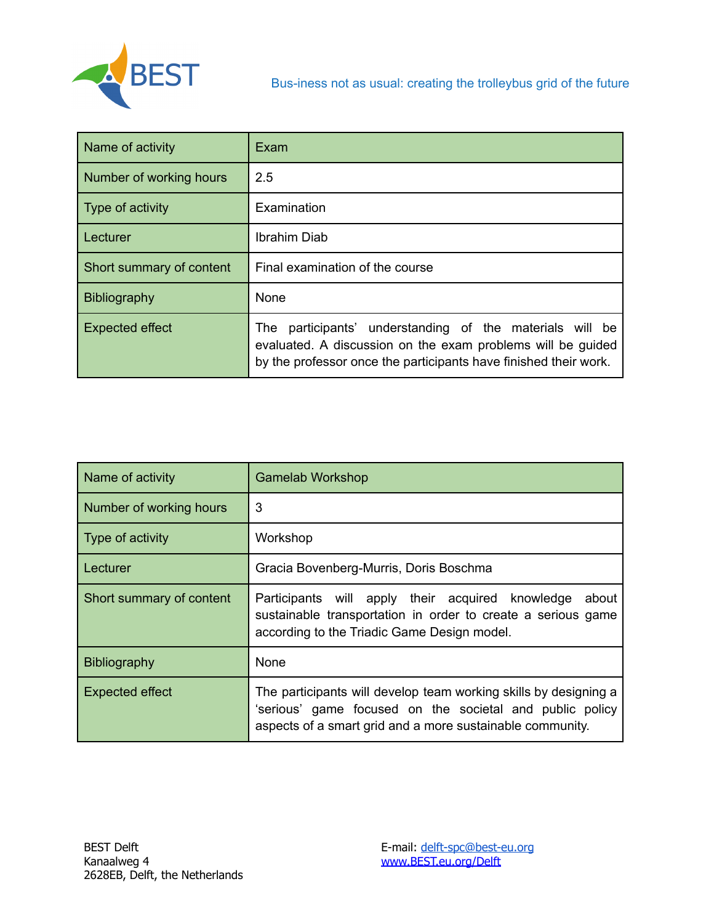

| Name of activity         | Exam                                                                                                                                                                                             |
|--------------------------|--------------------------------------------------------------------------------------------------------------------------------------------------------------------------------------------------|
| Number of working hours  | 2.5                                                                                                                                                                                              |
| Type of activity         | Examination                                                                                                                                                                                      |
| Lecturer                 | Ibrahim Diab                                                                                                                                                                                     |
| Short summary of content | Final examination of the course                                                                                                                                                                  |
| <b>Bibliography</b>      | None                                                                                                                                                                                             |
| Expected effect          | participants' understanding of the materials will be<br>The l<br>evaluated. A discussion on the exam problems will be guided<br>by the professor once the participants have finished their work. |

| Name of activity         | <b>Gamelab Workshop</b>                                                                                                                                                                   |
|--------------------------|-------------------------------------------------------------------------------------------------------------------------------------------------------------------------------------------|
| Number of working hours  | 3                                                                                                                                                                                         |
| Type of activity         | Workshop                                                                                                                                                                                  |
| Lecturer                 | Gracia Bovenberg-Murris, Doris Boschma                                                                                                                                                    |
| Short summary of content | Participants will apply their acquired knowledge<br>about<br>sustainable transportation in order to create a serious game<br>according to the Triadic Game Design model.                  |
| <b>Bibliography</b>      | None                                                                                                                                                                                      |
| <b>Expected effect</b>   | The participants will develop team working skills by designing a<br>'serious' game focused on the societal and public policy<br>aspects of a smart grid and a more sustainable community. |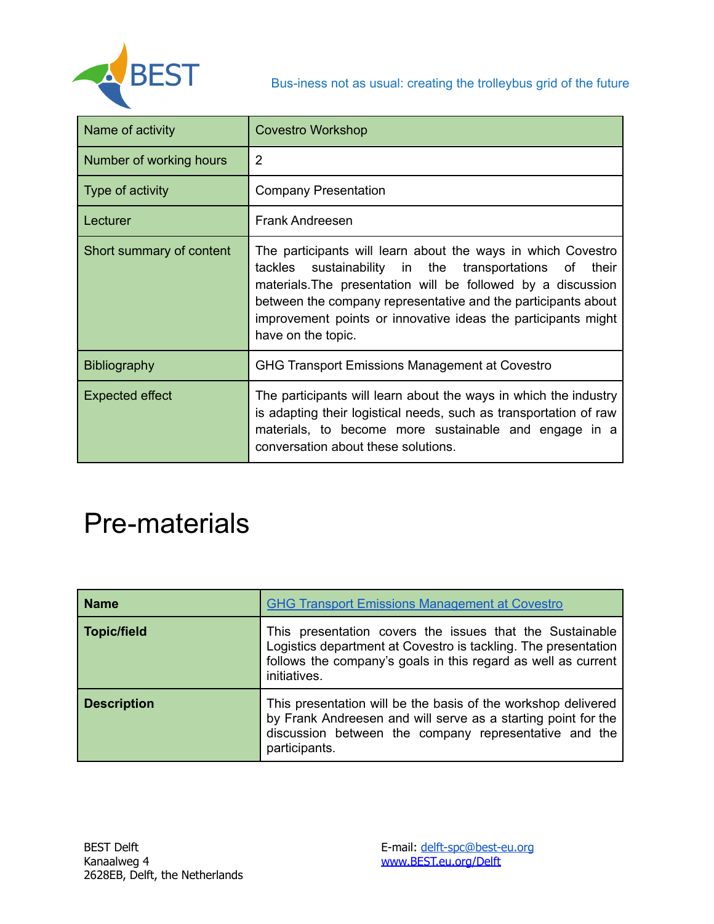

| Name of activity         | <b>Covestro Workshop</b>                                                                                                                                                                                                                                                                                                                             |
|--------------------------|------------------------------------------------------------------------------------------------------------------------------------------------------------------------------------------------------------------------------------------------------------------------------------------------------------------------------------------------------|
| Number of working hours  | 2                                                                                                                                                                                                                                                                                                                                                    |
| Type of activity         | <b>Company Presentation</b>                                                                                                                                                                                                                                                                                                                          |
| Lecturer                 | <b>Frank Andreesen</b>                                                                                                                                                                                                                                                                                                                               |
| Short summary of content | The participants will learn about the ways in which Covestro<br>sustainability in the transportations of<br>tackles<br>their<br>materials. The presentation will be followed by a discussion<br>between the company representative and the participants about<br>improvement points or innovative ideas the participants might<br>have on the topic. |
| <b>Bibliography</b>      | <b>GHG Transport Emissions Management at Covestro</b>                                                                                                                                                                                                                                                                                                |
| <b>Expected effect</b>   | The participants will learn about the ways in which the industry<br>is adapting their logistical needs, such as transportation of raw<br>materials, to become more sustainable and engage in a<br>conversation about these solutions.                                                                                                                |

# Pre-materials

| <b>Name</b>        | <b>GHG Transport Emissions Management at Covestro</b>                                                                                                                                                       |
|--------------------|-------------------------------------------------------------------------------------------------------------------------------------------------------------------------------------------------------------|
| <b>Topic/field</b> | This presentation covers the issues that the Sustainable<br>Logistics department at Covestro is tackling. The presentation<br>follows the company's goals in this regard as well as current<br>initiatives. |
| <b>Description</b> | This presentation will be the basis of the workshop delivered<br>by Frank Andreesen and will serve as a starting point for the<br>discussion between the company representative and the<br>participants.    |